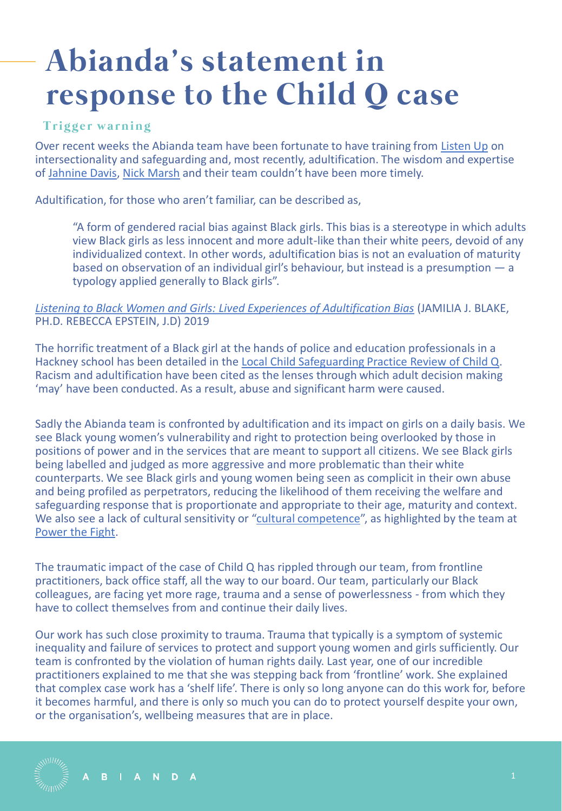## **Abianda's statement in response to the Child Q case**

## **Trigger warning**

Over recent weeks the Abianda team have been fortunate to have training from [Listen Up](https://listenupresearch.org/) on intersectionality and safeguarding and, most recently, adultification. The wisdom and expertise of [Jahnine Davis](https://listenupresearch.org/staff_member/jahnine-davis/), [Nick Marsh](https://listenupresearch.org/staff_member/nick-marsh/) and their team couldn't have been more timely.

Adultification, for those who aren't familiar, can be described as,

"A form of gendered racial bias against Black girls. This bias is a stereotype in which adults view Black girls as less innocent and more adult-like than their white peers, devoid of any individualized context. In other words, adultification bias is not an evaluation of maturity based on observation of an individual girl's behaviour, but instead is a presumption — a typology applied generally to Black girls".

## *[Listening to Black Women and Girls: Lived Experiences of Adultification Bias](https://bit.ly/3wtekbo)* (JAMILIA J. BLAKE, PH.D. REBECCA EPSTEIN, J.D) 2019

The horrific treatment of a Black girl at the hands of police and education professionals in a Hackney school has been detailed in the [Local Child Safeguarding Practice Review of Child Q.](https://chscp.org.uk/wp-content/uploads/2022/03/Child-Q-PUBLISHED-14-March-22.pdf) Racism and adultification have been cited as the lenses through which adult decision making 'may' have been conducted. As a result, abuse and significant harm were caused.

Sadly the Abianda team is confronted by adultification and its impact on girls on a daily basis. We see Black young women's vulnerability and right to protection being overlooked by those in positions of power and in the services that are meant to support all citizens. We see Black girls being labelled and judged as more aggressive and more problematic than their white counterparts. We see Black girls and young women being seen as complicit in their own abuse and being profiled as perpetrators, reducing the likelihood of them receiving the welfare and safeguarding response that is proportionate and appropriate to their age, maturity and context. We also see a lack of cultural sensitivity or "[cultural competence](https://www.powerthefight.org.uk/wp-content/uploads/2021/11/tip-report.pdf)", as highlighted by the team at [Power the Fight.](https://www.powerthefight.org.uk/)

The traumatic impact of the case of Child Q has rippled through our team, from frontline practitioners, back office staff, all the way to our board. Our team, particularly our Black colleagues, are facing yet more rage, trauma and a sense of powerlessness - from which they have to collect themselves from and continue their daily lives.

Our work has such close proximity to trauma. Trauma that typically is a symptom of systemic inequality and failure of services to protect and support young women and girls sufficiently. Our team is confronted by the violation of human rights daily. Last year, one of our incredible practitioners explained to me that she was stepping back from 'frontline' work. She explained that complex case work has a 'shelf life'. There is only so long anyone can do this work for, before it becomes harmful, and there is only so much you can do to protect yourself despite your own, or the organisation's, wellbeing measures that are in place.